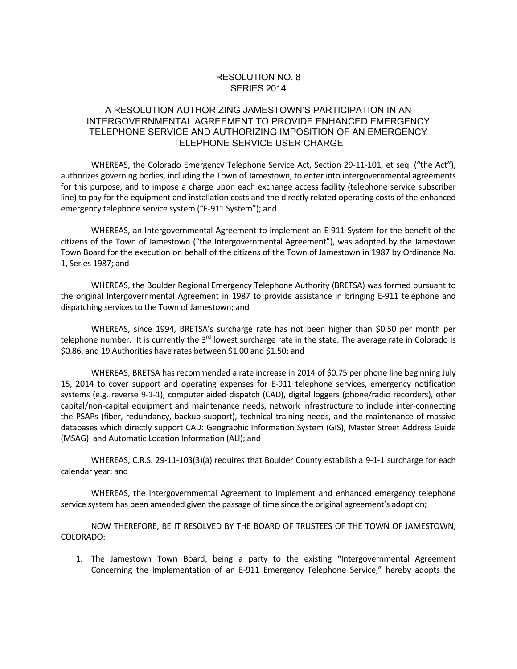## RESOLUTION NO. 8 SERIES 2014

## A RESOLUTION AUTHORIZING JAMESTOWN'S PARTICIPATION IN AN INTERGOVERNMENTAL AGREEMENT TO PROVIDE ENHANCED EMERGENCY TELEPHONE SERVICE AND AUTHORIZING IMPOSITION OF AN EMERGENCY TELEPHONE SERVICE USER CHARGE

 WHEREAS, the Colorado Emergency Telephone Service Act, Section 29‐11‐101, et seq. ("the Act"), authorizes governing bodies, including the Town of Jamestown, to enter into intergovernmental agreements for this purpose, and to impose a charge upon each exchange access facility (telephone service subscriber line) to pay for the equipment and installation costs and the directly related operating costs of the enhanced emergency telephone service system ("E‐911 System"); and

 WHEREAS, an Intergovernmental Agreement to implement an E‐911 System for the benefit of the citizens of the Town of Jamestown ("the Intergovernmental Agreement"), was adopted by the Jamestown Town Board for the execution on behalf of the citizens of the Town of Jamestown in 1987 by Ordinance No. 1, Series 1987; and

 WHEREAS, the Boulder Regional Emergency Telephone Authority (BRETSA) was formed pursuant to the original Intergovernmental Agreement in 1987 to provide assistance in bringing E‐911 telephone and dispatching services to the Town of Jamestown; and

WHEREAS, since 1994, BRETSA's surcharge rate has not been higher than \$0.50 per month per telephone number. It is currently the  $3^{rd}$  lowest surcharge rate in the state. The average rate in Colorado is \$0.86, and 19 Authorities have rates between \$1.00 and \$1.50; and

 WHEREAS, BRETSA has recommended a rate increase in 2014 of \$0.75 per phone line beginning July 15, 2014 to cover support and operating expenses for E‐911 telephone services, emergency notification systems (e.g. reverse 9‐1‐1), computer aided dispatch (CAD), digital loggers (phone/radio recorders), other capital/non-capital equipment and maintenance needs, network infrastructure to include inter-connecting the PSAPs (fiber, redundancy, backup support), technical training needs, and the maintenance of massive databases which directly support CAD: Geographic Information System (GIS), Master Street Address Guide (MSAG), and Automatic Location Information (ALI); and

 WHEREAS, C.R.S. 29‐11‐103(3)(a) requires that Boulder County establish a 9‐1‐1 surcharge for each calendar year; and

WHEREAS, the Intergovernmental Agreement to implement and enhanced emergency telephone service system has been amended given the passage of time since the original agreement's adoption;

 NOW THEREFORE, BE IT RESOLVED BY THE BOARD OF TRUSTEES OF THE TOWN OF JAMESTOWN, COLORADO:

1. The Jamestown Town Board, being a party to the existing "Intergovernmental Agreement Concerning the Implementation of an E-911 Emergency Telephone Service," hereby adopts the